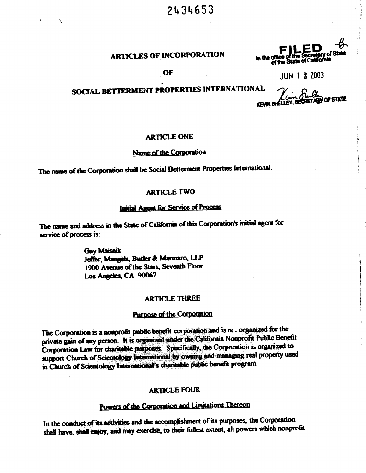# 2434653

## **ARTICLES OF INCORPORATION**

OF

**.ED** unnce of the Secretary of State<br>of the State of California in the of

**JUN 1 2 2003** 

# SOCIAL BETTERMENT PROPERTIES INTERNATIONAL

**OF STATE KEVIN SHE** 

#### **ARTICLE ONE**

## Name of the Corporation

The name of the Corporation shall be Social Betterment Properties International.

## **ARTICLE TWO**

#### Initial Agent for Service of Process

The name and address in the State of California of this Corporation's initial agent for service of process is:

> **Guy Maisnik** Jeffer, Mangels, Butler & Marmaro, LLP 1900 Avenue of the Stars, Seventh Floor Los Angeles, CA 90067

## **ARTICLE THREE**

## **Purpose of the Corporation**

The Corporation is a nonprofit public benefit corporation and is nc. organized for the private gain of any person. It is organized under the California Nonprofit Public Benefit Corporation Law for charitable purposes. Specifically, the Corporation is organized to support Claurch of Scientology International by owning and managing real property used in Church of Scientology International's charitable public benefit program.

#### **ARTICLE FOUR**

# Powers of the Corporation and Limitations Thereon

In the conduct of its activities and the accomplishment of its purposes, the Corporation shall have, shall enjoy, and may exercise, to their fullest extent, all powers which nonprofit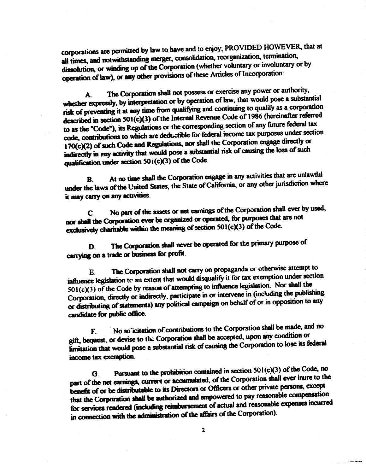corporations are permitted by law to have and to enjoy; PROVIDED HOWEVER, that at all times, and notwithstanding merger, consolidation, reorganization, termination, dissolution, or winding up of the Corporation (whether voluntary or involuntary or by operation of law), or any other provisions of these Articles of Incorporation:

The Corporation shall not possess or exercise any power or authority, A. whether expressly, by interpretation or by operation of law, that would pose a substantial risk of preventing it at any time from qualifying and continuing to qualify as a corporation described in section 501(c)(3) of the Internal Revenue Code of 1986 (hereinafter referred to as the "Code"), its Regulations or the corresponding section of any future federal tax code, contributions to which are deductible for federal income tax purposes under section 170(c)(2) of such Code and Regulations, nor shall the Corporation engage directly or indirectly in any activity that would pose a substantial risk of causing the loss of such qualification under section 501(c)(3) of the Code.

At no time shall the Corporation engage in any activities that are unlawful  $\mathbf{B}$ under the laws of the United States, the State of California, or any other jurisdiction where it may carry on any activities.

No part of the assets or net earnings of the Corporation shall ever by used,  $\mathbf{C}$ nor shall the Corporation ever be organized or operated, for purposes that are not exclusively charitable within the meaning of section 501(c)(3) of the Code.

The Corporation shall never be operated for the primary purpose of D. carrying on a trade or business for profit.

The Corporation shall not carry on propaganda or otherwise attempt to E. influence legislation to an extent that would disqualify it for tax exemption under section  $501(c)(3)$  of the Code by reason of attempting to influence legislation. Nor shall the Corporation, directly or indirectly, participate in or intervene in (including the publishing or distributing of statements) any political campaign on behalf of or in opposition to any candidate for public office.

No so icitation of contributions to the Corporation shall be made, and no  $\mathbf{F}$ gift, bequest, or devise to the Corporation shall be accepted, upon any condition or limitation that would pose a substantial risk of causing the Corporation to lose its federal income tax exemption.

Pursuant to the prohibition contained in section 501(c)(3) of the Code, no G. part of the net earnings, current or accumulated, of the Corporation shall ever inure to the benefit of or be distributable to its Directors or Officers or other private persons, except that the Corporation shall be authorized and empowered to pay reasonable compensation for services rendered (including reimbursement of actual and reasonable expenses incurred in connection with the administration of the affairs of the Corporation).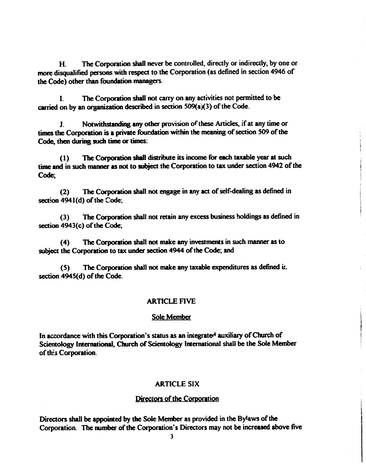The Corporation shall never be controlled, directly or indirectly, by one or  $\bf H$ more disqualified persons with respect to the Corporation (as defined in section 4946 of the Code) other than foundation managers.

The Corporation shall not carry on any activities not permitted to be L carried on by an organization described in section 509(a)(3) of the Code.

Notwithstanding any other provision of these Articles, if at any time or J. times the Corporation is a private foundation within the meaning of section 509 of the Code, then during such time or times:

The Corporation shall distribute its income for each taxable year at such  $(1)$ time and in such manner as not to subject the Corporation to tax under section 4942 of the Code:

The Corporation shall not engage in any act of self-dealing as defined in  $(2)$ section 4941(d) of the Code;

The Corporation shall not retain any excess business holdings as defined in  $(3)$ section 4943(c) of the Code;

 $(4)$ The Corporation shall not make any investments in such manner as to subject the Corporation to tax under section 4944 of the Code; and

The Corporation shall not make any taxable expenditures as defined it.  $(5)$ section 4945(d) of the Code.

#### **ARTICLE FIVE**

#### Sole Member

In accordance with this Corporation's status as an integrated auxiliary of Church of Scientology International, Church of Scientology International shall be the Sole Member of this Corporation.

#### **ARTICLE SIX**

#### Directors of the Corporation

Directors shall be appointed by the Sole Member as provided in the Bylaws of the Corporation. The number of the Corporation's Directors may not be increased above five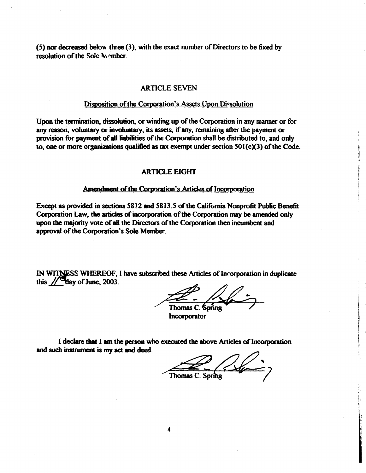(5) nor decreased below three (3), with the exact number of Directors to be fixed by resolution of the Sole Member.

## **ARTICLE SEVEN**

#### Disposition of the Corporation's Assets Upon Dissolution

Upon the termination, dissolution, or winding up of the Corporation in any manner or for any reason, voluntary or involuntary, its assets, if any, remaining after the payment or provision for payment of all liabilities of the Corporation shall be distributed to, and only to, one or more organizations qualified as tax exempt under section  $501(c)(3)$  of the Code.

## **ARTICLE EIGHT**

#### Amendment of the Corporation's Articles of Incorporation

Except as provided in sections 5812 and 5813.5 of the California Nonprofit Public Benefit Corporation Law, the articles of incorporation of the Corporation may be amended only upon the majority vote of all the Directors of the Corporation then incumbent and approval of the Corporation's Sole Member.

IN WITNESS WHEREOF, I have subscribed these Articles of Incorporation in duplicate this  $\sqrt{\frac{4}{3}}$  day of June, 2003.

Thomas C. Spring

Incorporator

I declare that I am the person who executed the above Articles of Incorporation and such instrument is my act and deed.

Thomas C. Spring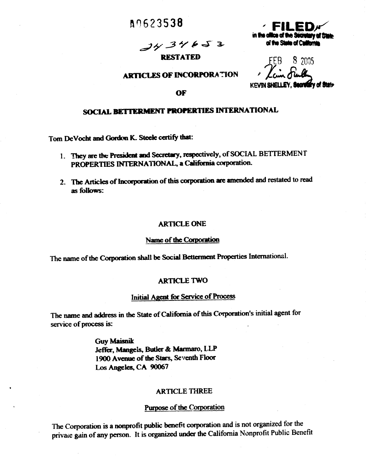# **A9623538**

 $3434653$ 

## **RESTATED**

## **ARTICLES OF INCORPORATION**

**KEVIN SHELLEY.** 

in the office of the Secretary of Etate.

of the State of California

#### OF

## SOCIAL BETTERMENT PROPERTIES INTERNATIONAL

Tom DeVocht and Gordon K. Steele certify that:

- 1. They are the President and Secretary, respectively, of SOCIAL BETTERMENT PROPERTIES INTERNATIONAL, a California corporation.
- 2. The Articles of Incorporation of this corporation are amended and restated to read as follows:

#### **ARTICLE ONE**

#### Name of the Corporation

The name of the Corporation shall be Social Betterment Properties International.

#### **ARTICLE TWO**

#### Initial Agent for Service of Process

The name and address in the State of California of this Corporation's initial agent for service of process is:

> **Guy Maisnik** Jeffer, Mangels, Butler & Marmaro, LLP 1900 Avenue of the Stars, Seventh Floor Los Angeles, CA 90067

## **ARTICLE THREE**

#### Purpose of the Corporation

The Corporation is a nonprofit public benefit corporation and is not organized for the private gain of any person. It is organized under the California Nonprofit Public Benefit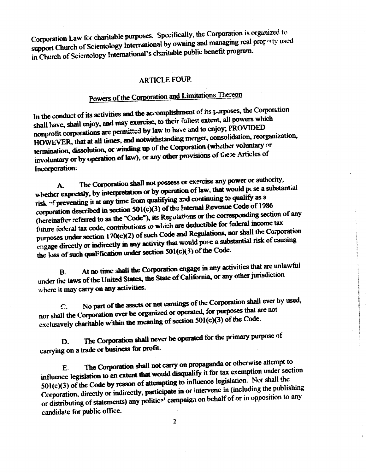Corporation Law for charitable purposes. Specifically, the Corporation is organized to support Church of Scientology International by owning and managing real proporty used in Church of Scientology International's charitable public benefit program.

## **ARTICLE FOUR**

# Powers of the Corporation and Limitations Thereon

In the conduct of its activities and the accomplishment of its purposes, the Corporation shall have, shall enjoy, and may exercise, to their fullest extent, all powers which nonprofit corporations are permitted by law to have and to enjoy; PROVIDED HOWEVER, that at all times, and notwithstanding merger, consolidation, reorganization, termination, dissolution, or winding up of the Corporation (whether voluntary or involuntary or by operation of law), or any other provisions of these Articles of Incorporation:

The Corporation shall not possess or exercise any power or authority, whether expressly, by interpretation or by operation of law, that would pc se a substantial A. risk of preventing it at any time from qualifying and continuing to qualify as a corporation described in section 501(c)(3) of the Internal Revenue Code of 1986 (hereinafter referred to as the "Code"), its Regulations or the corresponding section of any future federal tax code, contributions to which are deductible for federal income tax purposes under section 170(c)(2) of such Code and Regulations, nor shall the Corporation engage directly or indirectly in any activity that would pose a substantial risk of causing the loss of such qualification under section  $501(c)(3)$  of the Code.

At no time shall the Corporation engage in any activities that are unlawful  $\mathbf{B}$ . under the laws of the United States, the State of California, or any other jurisdiction where it may carry on any activities.

No part of the assets or net earnings of the Corporation shall ever by used,  $\mathbf{C}$ nor shall the Corporation ever be organized or operated, for purposes that are not exclusively charitable within the meaning of section 501(c)(3) of the Code.

The Corporation shall never be operated for the primary purpose of D. carrying on a trade or business for profit.

The Corporation shall not carry on propaganda or otherwise attempt to  $E.$ influence legislation to an extent that would disqualify it for tax exemption under section 501(c)(3) of the Code by reason of attempting to influence legislation. Nor shall the Corporation, directly or indirectly, participate in or intervene in (including the publishing or distributing of statements) any political campaign on behalf of or in opposition to any candidate for public office.

 $\overline{2}$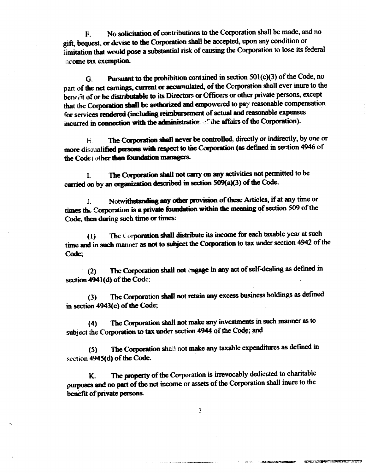No solicitation of contributions to the Corporation shall be made, and no F. gift, bequest, or devise to the Corporation shall be accepted, upon any condition or limitation that would pose a substantial risk of causing the Corporation to lose its federal ncome tax exemption.

Pursuant to the prohibition contained in section 501(c)(3) of the Code, no G. part of the net earnings, current or accumulated, of the Corporation shall ever inure to the benefit of or be distributable to its Directors or Officers or other private persons, except that the Corporation shall be authorized and empowered to pay reasonable compensation for services rendered (including reimbursement of actual and reasonable expenses incurred in connection with the administration. If the affairs of the Corporation).

The Corporation shall never be controlled, directly or indirectly, by one or  $H_{\cdot}$ more disqualified persons with respect to the Corporation (as defined in section 4946 of the Code) other than foundation managers.

The Corporation shall not carry on any activities not permitted to be L carried on by an organization described in section 509(a)(3) of the Code.

Notwithstanding any other provision of these Articles, if at any time or  $J_{-}$ times the Corporation is a private foundation within the meaning of section 509 of the Code, then during such time or times:

The Corporation shall distribute its income for each taxable year at such  $\mathbf{d}$ time and in such manner as not to subject the Corporation to tax under section 4942 of the Code:

The Corporation shall not engage in any act of self-dealing as defined in  $(2)$ section 4941(d) of the Code;

The Corporation shall not retain any excess business holdings as defined  $(3)$ in section 4943(c) of the Code;

The Corporation shall not make any investments in such manner as to  $(4)$ subject the Corporation to tax under section 4944 of the Code; and

The Corporation shall not make any taxable expenditures as defined in  $(5)$ section 4945(d) of the Code.

The property of the Corporation is irrevocably dedicated to charitable K. purposes and no part of the net income or assets of the Corporation shall inure to the benefit of private persons.

 $\overline{3}$ 

**North Stage Conference** 

THE PERSON NAMED IN COLUMN TWO OFFICE ADDRESS OF TAXABLE PARTIES.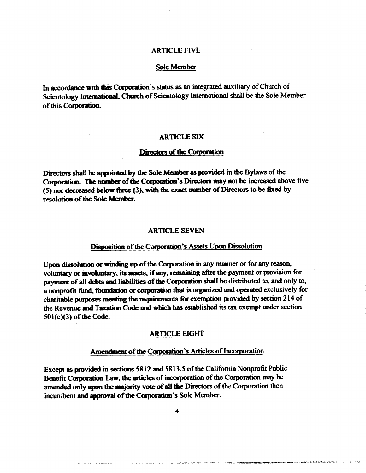### **ARTICLE FIVE**

### Sole Member

In accordance with this Corporation's status as an integrated auxiliary of Church of Scientology International, Church of Scientology International shall be the Sole Member of this Corporation.

#### **ARTICLE SIX**

#### Directors of the Corporation

Directors shall be appointed by the Sole Member as provided in the Bylaws of the Corporation. The number of the Corporation's Directors may not be increased above five (5) nor decreased below three (3), with the exact number of Directors to be fixed by resolution of the Sole Member.

#### **ARTICLE SEVEN**

## Disposition of the Corporation's Assets Upon Dissolution

Upon dissolution or winding up of the Corporation in any manner or for any reason, voluntary or involuntary, its assets, if any, remaining after the payment or provision for payment of all debts and liabilities of the Corporation shall be distributed to, and only to, a nonprofit fund, foundation or corporation that is organized and operated exclusively for charitable purposes meeting the requirements for exemption provided by section 214 of the Revenue and Taxation Code and which has established its tax exempt under section 501(c)(3) of the Code.

## **ARTICLE EIGHT**

## Amendment of the Corporation's Articles of Incorporation

Except as provided in sections 5812 and 5813.5 of the California Nonprofit Public Benefit Corporation Law, the articles of incorporation of the Corporation may be amended only upon the majority vote of all the Directors of the Corporation then incumbent and approval of the Corporation's Sole Member.

 $\ddot{\phantom{a}}$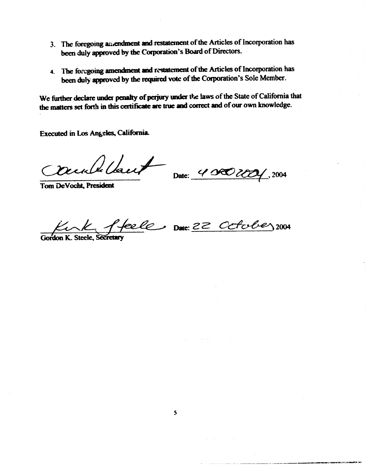- 3. The foregoing aniendment and restatement of the Articles of Incorporation has been duly approved by the Corporation's Board of Directors.
- 4. The foregoing amendment and restatement of the Articles of Incorporation has been duly approved by the required vote of the Corporation's Sole Member.

We further declare under penalty of perjury under the laws of the State of California that the matters set forth in this certificate are true and correct and of our own knowledge.

Executed in Los Angeles, California.

Cambelant

**Tom DeVocht**, President

Date: 40000001, 2004

Curk ffeele Date 22 October 2004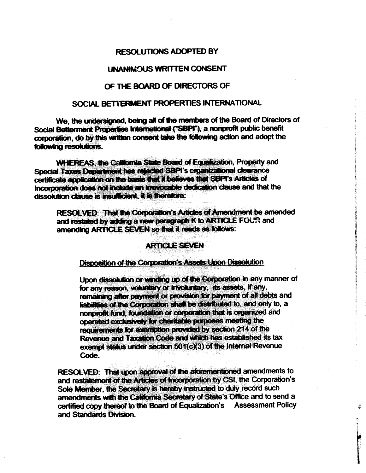## **RESOLUTIONS ADOPTED BY**

## **UNANIMOUS WRITTEN CONSENT**

## OF THE BOARD OF DIRECTORS OF

## SOCIAL BETTERMENT PROPERTIES INTERNATIONAL

We, the undersigned, being all of the members of the Board of Directors of Social Betterment Properties International ("SBPI"), a nonprofit public benefit corporation, do by this written consent take the following action and adopt the following resolutions.

**WHEREAS, the California State Board of Equalization, Property and** Special Taxes Department has rejected SBPI's organizational clearance certificate application on the basis that it believes that SBPI's Articles of Incorporation does not include an irrevocable dedication clause and that the dissolution clause is insufficient. it is therefore:

RESOLVED: That the Corporation's Articles of Amendment be amended and restated by adding a new paragraph K to ARTICLE FOUR and amending ARTICLE SEVEN so that it reads as follows:

## **ARTICLE SEVEN**

## Disposition of the Corporation's Assets Upon Dissolution

Upon dissolution or winding up of the Corporation in any manner of for any reason, voluntary or involuntary, its assets, if any, remaining after payment or provision for payment of all debts and liabilities of the Corporation shall be distributed to, and only to, a nonprofit fund, foundation or corporation that is organized and operated exclusively for charitable purposes meeting the requirements for exemption provided by section 214 of the Revenue and Taxation Code and which has established its tax exempt status under section 501(c)(3) of the Internal Revenue Code.

RESOLVED: That upon approval of the aforementioned amendments to and restatement of the Articles of Incorporation by CSI, the Corporation's Sole Member, the Secretary is hereby instructed to duly record such amendments with the California Secretary of State's Office and to send a certified copy thereof to the Board of Equalization's Assessment Policy and Standards Division.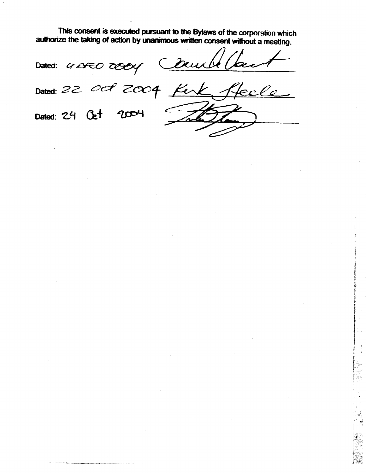This consent is executed pursuant to the Bylaws of the corporation which authorize the taking of action by unanimous written consent without a meeting.

Deurle Dated: 4 AFEO TOOCY

Jeele Dated: 22 008 2004 Kin 2004 Dated: 24 Oct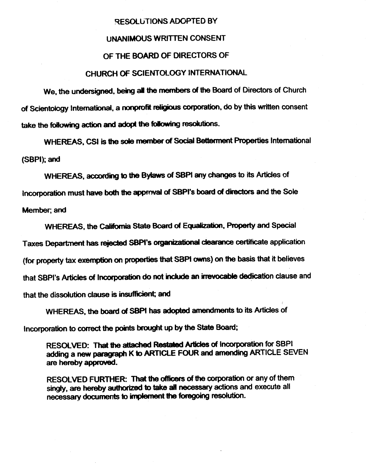#### RESOLUTIONS ADOPTED BY

#### **UNANIMOUS WRITTEN CONSENT**

### OF THE BOARD OF DIRECTORS OF

## CHURCH OF SCIENTOLOGY INTERNATIONAL

We, the undersigned, being all the members of the Board of Directors of Church of Scientology International, a nonprofit religious corporation, do by this written consent take the following action and adopt the following resolutions.

WHEREAS, CSI is the sole member of Social Betterment Properties International (SBPI); and

WHEREAS, according to the Bylaws of SBPI any changes to its Articles of Incorporation must have both the approval of SBPI's board of directors and the Sole Member; and

WHEREAS, the California State Board of Equalization, Property and Special

Taxes Department has rejected SBPI's organizational clearance certificate application

(for property tax exemption on properties that SBPI owns) on the basis that it believes

that SBPI's Articles of Incorporation do not include an irrevocable dedication clause and

that the dissolution clause is insufficient; and

WHEREAS, the board of SBPI has adopted amendments to its Articles of

Incorporation to correct the points brought up by the State Board:

RESOLVED: That the attached Restated Articles of Incorporation for SBPI adding a new paragraph K to ARTICLE FOUR and amending ARTICLE SEVEN are hereby approved.

RESOLVED FURTHER: That the officers of the corporation or any of them singly, are hereby authorized to take all necessary actions and execute all necessary documents to implement the foregoing resolution.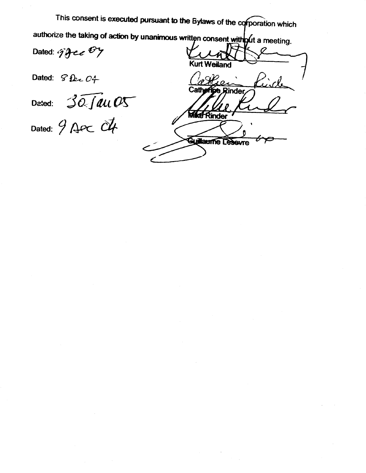This consent is executed pursuant to the Bylaws of the corporation which authorize the taking of action by unanimous written consent with out a meeting.

Dated: 9gee By

Dated:  $\mathcal{G}$ lec  $C_+$ 

Dated:  $30 \overline{J}$ au O5

Dated:  $9$  Apc  $4$ 

**Kurt Weiland** Cathern pe Rinder **Mike Rinder** Guillaume Lesovre